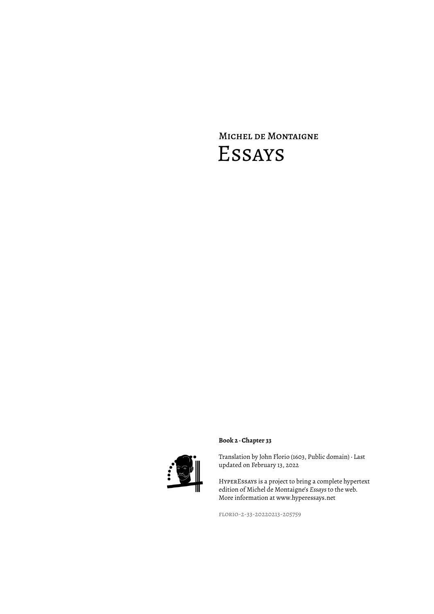# Michel de Montaigne Essays



### **Book 2 · Chapter 33**

Translation by John Florio (1603, Public domain) · Last updated on February 13, 2022

HyperEssays is a project to bring a complete hypertext edition of Michel de Montaigne's *Essays* to the web. More information at www.hyperessays.net

florio-2-33-20220213-205759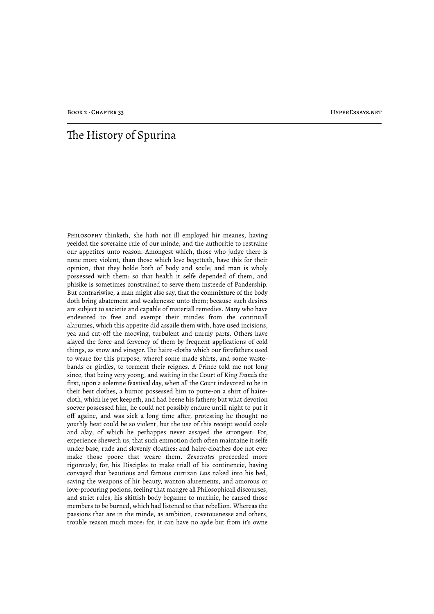## The History of Spurina

Philosophy thinketh, she hath not ill employed hir meanes, having yeelded the soveraine rule of our minde, and the authoritie to restraine our appetites unto reason. Amongest which, those who judge there is none more violent, than those which love begetteth, have this for their opinion, that they holde both of body and soule; and man is wholy possessed with them: so that health it selfe depended of them, and phisike is sometimes constrained to serve them insteede of Pandership. But contrariwise, a man might also say, that the commixture of the body doth bring abatement and weakenesse unto them; because such desires are subject to sacietie and capable of materiall remedies. Many who have endevored to free and exempt their mindes from the continuall alarumes, which this appetite did assaile them with, have used incisions, yea and cut-off the mooving, turbulent and unruly parts. Others have alayed the force and fervency of them by frequent applications of cold things, as snow and vineger. The haire-cloths which our forefathers used to weare for this purpose, wherof some made shirts, and some wastebands or girdles, to torment their reignes. A Prince told me not long since, that being very yoong, and waiting in the Court of King *Francis* the first, upon a solemne feastival day, when all the Court indevored to be in their best clothes, a humor possessed him to putte-on a shirt of hairecloth, which he yet keepeth, and had beene his fathers; but what devotion soever possessed him, he could not possibly endure untill night to put it off againe, and was sick a long time after, protesting he thought no youthly heat could be so violent, but the use of this receipt would coole and alay; of which he perhappes never assayed the strongest: For, experience sheweth us, that such emmotion doth often maintaine it selfe under base, rude and slovenly cloathes: and haire-cloathes doe not ever make those poore that weare them. *Zenocrates* proceeded more rigorously; for, his Disciples to make triall of his continencie, having convayed that beautious and famous curtizan *Lais* naked into his bed, saving the weapons of hir beauty, wanton alurements, and amorous or love-procuring pocions, feeling that maugre all Philosophicall discourses, and strict rules, his skittish body beganne to mutinie, he caused those members to be burned, which had listened to that rebellion. Whereas the passions that are in the minde, as ambition, covetousnesse and others, trouble reason much more: for, it can have no ayde but from it's owne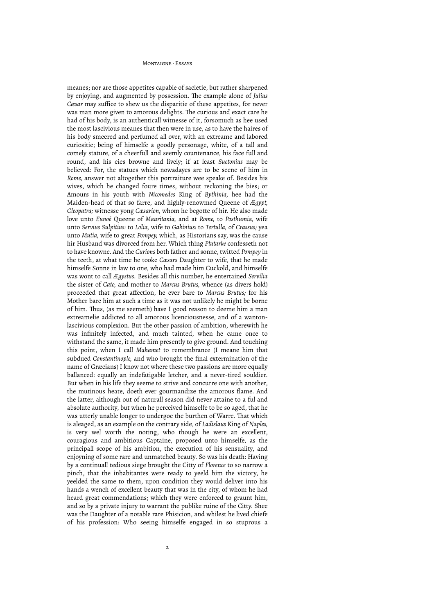meanes; nor are those appetites capable of sacietie, but rather sharpened by enjoying, and augmented by possession. The example alone of *Julius Cæsar* may suffice to shew us the disparitie of these appetites, for never was man more given to amorous delights. The curious and exact care he had of his body, is an authenticall witnesse of it, forsomuch as hee used the most lascivious meanes that then were in use, as to have the haires of his body smeered and perfumed all over, with an extreame and labored curiositie; being of himselfe a goodly personage, white, of a tall and comely stature, of a cheerfull and seemly countenance, his face full and round, and his eies browne and lively; if at least *Suetonius* may be believed: For, the statues which nowadayes are to be seene of him in *Rome,* answer not altogether this portraiture wee speake of. Besides his wives, which he changed foure times, without reckoning the bies; or Amours in his youth with *Nicomedes* King of *Bythinia,* hee had the Maiden-head of that so farre, and highly-renowmed Queene of *Ægypt, Cleopatra;* witnesse yong *Cæsarion,* whom he begotte of hir. He also made love unto *Eunoé* Queene of *Mauritania,* and at *Rome,* to *Posthumia,* wife unto *Servius Sulpitius:* to *Lolia,* wife to *Gabinius:* to *Tertulla,* of *Crassus;* yea unto *Mutia,* wife to great *Pompey,* which, as Historians say, was the cause hir Husband was divorced from her. Which thing *Plutarke* confesseth not to have knowne. And the *Curions* both father and sonne, twitted *Pompey* in the teeth, at what time he tooke *Cæsars* Daughter to wife, that he made himselfe Sonne in law to one, who had made him Cuckold, and himselfe was wont to call *Ægystus.* Besides all this number, he entertained *Servilia* the sister of *Cato,* and mother to *Marcus Brutus,* whence (as divers hold) proceeded that great affection, he ever bare to *Marcus Brutus;* for his Mother bare him at such a time as it was not unlikely he might be borne of him. Thus, (as me seemeth) have I good reason to deeme him a man extreamelie addicted to all amorous licenciousnesse, and of a wantonlascivious complexion. But the other passion of ambition, wherewith he was infinitely infected, and much tainted, when he came once to withstand the same, it made him presently to give ground. And touching this point, when I call *Mahamet* to remembrance (I meane him that subdued *Constantinople,* and who brought the final extermination of the name of Græcians) I know not where these two passions are more equally ballanced: equally an indefatigable letcher, and a never-tired souldier. But when in his life they seeme to strive and concurre one with another, the mutinous heate, doeth ever gourmandize the amorous flame. And the latter, although out of naturall season did never attaine to a ful and absolute authority, but when he perceived himselfe to be so aged, that he was utterly unable longer to undergoe the burthen of Warre. That which is aleaged, as an example on the contrary side, of *Ladislaus* King of *Naples,* is very wel worth the noting, who though he were an excellent, couragious and ambitious Captaine, proposed unto himselfe, as the principall scope of his ambition, the execution of his sensuality, and enjoyning of some rare and unmatched beauty. So was his death: Having by a continuall tedious siege brought the Citty of *Florence* to so narrow a pinch, that the inhabitantes were ready to yeeld him the victory, he yeelded the same to them, upon condition they would deliver into his hands a wench of excellent beauty that was in the city, of whom he had heard great commendations; which they were enforced to graunt him, and so by a private injury to warrant the publike ruine of the Citty. Shee was the Daughter of a notable rare Phisicion, and whilest he lived chiefe of his profession: Who seeing himselfe engaged in so stuprous a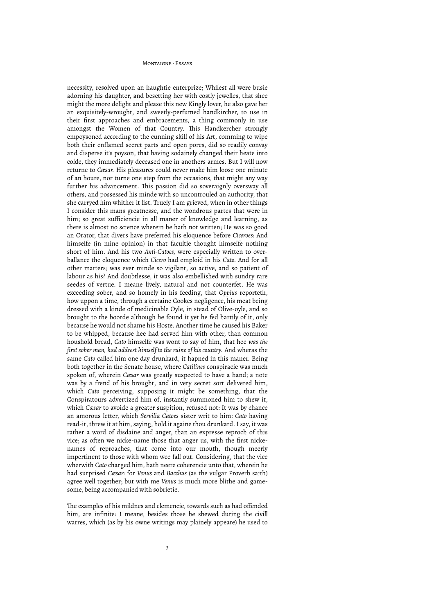necessity, resolved upon an haughtie enterprize; Whilest all were busie adorning his daughter, and besetting her with costly jewelles, that shee might the more delight and please this new Kingly lover, he also gave her an exquisitely-wrought, and sweetly-perfumed handkircher, to use in their first approaches and embracements, a thing commonly in use amongst the Women of that Country. This Handkercher strongly empoysoned according to the cunning skill of his Art, comming to wipe both their enflamed secret parts and open pores, did so readily convay and disperse it's poyson, that having sodainely changed their heate into colde, they immediately deceased one in anothers armes. But I will now returne to *Cæsar.* His pleasures could never make him loose one minute of an houre, nor turne one step from the occasions, that might any way further his advancement. This passion did so soveraignly oversway all others, and possessed his minde with so uncontrouled an authority, that she carryed him whither it list. Truely I am grieved, when in other things I consider this mans greatnesse, and the wondrous partes that were in him; so great sufficiencie in all maner of knowledge and learning, as there is almost no science wherein he hath not written; He was so good an Orator, that divers have preferred his eloquence before *Ciceroes:* And himselfe (in mine opinion) in that facultie thought himselfe nothing short of him. And his two *Anti-Catoes,* were especially written to overballance the eloquence which *Cicero* had emploid in his *Cato.* And for all other matters; was ever minde so vigilant, so active, and so patient of labour as his? And doubtlesse, it was also embellished with sundry rare seedes of vertue. I meane lively, natural and not counterfet. He was exceeding sober, and so homely in his feeding, that *Oppius* reporteth, how uppon a time, through a certaine Cookes negligence, his meat being dressed with a kinde of medicinable Oyle, in stead of Olive-oyle, and so brought to the boorde although he found it yet he fed hartily of it, only because he would not shame his Hoste. Another time he caused his Baker to be whipped, because hee had served him with other, than common houshold bread, *Cato* himselfe was wont to say of him, that hee *was the first sober man, had addrest himself to the ruine of his country.* And wheras the same *Cato* called him one day drunkard, it hapned in this maner. Being both together in the Senate house, where *Catilines* conspiracie was much spoken of, wherein *Cæsar* was greatly suspected to have a hand; a note was by a frend of his brought, and in very secret sort delivered him, which *Cato* perceiving, supposing it might be something, that the Conspiratours advertized him of, instantly summoned him to shew it, which *Cæsar* to avoide a greater suspition, refused not: It was by chance an amorous letter, which *Servilia Catoes* sister writ to him: *Cato* having read-it, threw it at him, saying, hold it againe thou drunkard. I say, it was rather a word of disdaine and anger, than an expresse reproch of this vice; as often we nicke-name those that anger us, with the first nickenames of reproaches, that come into our mouth, though meerly impertinent to those with whom wee fall out. Considering, that the vice wherwith *Cato* charged him, hath neere coherencie unto that, wherein he had surprised *Cæsar:* for *Venus* and *Bacchus* (as the vulgar Proverb saith) agree well together; but with me *Venus* is much more blithe and gamesome, being accompanied with sobrietie.

The examples of his mildnes and clemencie, towards such as had offended him, are infinite: I meane, besides those he shewed during the civill warres, which (as by his owne writings may plainely appeare) he used to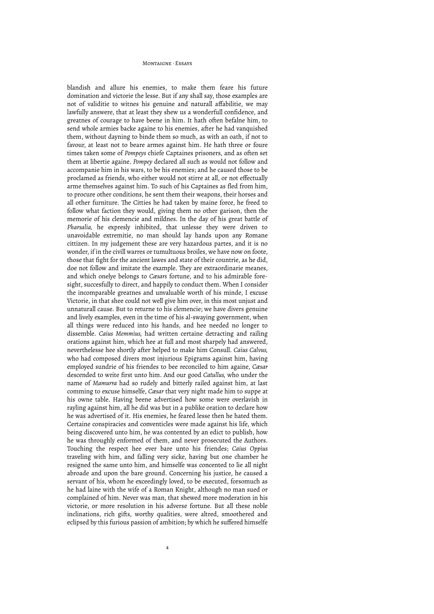blandish and allure his enemies, to make them feare his future domination and victorie the lesse. But if any shall say, those examples are not of validitie to witnes his genuine and naturall affabilitie, we may lawfully answere, that at least they shew us a wonderfull confidence, and greatnes of courage to have beene in him. It hath often befalne him, to send whole armies backe againe to his enemies, after he had vanquished them, without dayning to binde them so much, as with an oath, if not to favour, at least not to beare armes against him. He hath three or foure times taken some of *Pompeys* chiefe Captaines prisoners, and as often set them at libertie againe. *Pompey* declared all such as would not follow and accompanie him in his wars, to be his enemies; and he caused those to be proclamed as friends, who either would not stirre at all, or not effectually arme themselves against him. To such of his Captaines as fled from him, to procure other conditions, he sent them their weapons, their horses and all other furniture. The Citties he had taken by maine force, he freed to follow what faction they would, giving them no other garison, then the memorie of his clemencie and mildnes. In the day of his great battle of *Pharsalia,* he expresly inhibited, that unlesse they were driven to unavoidable extremitie, no man should lay hands upon any Romane cittizen. In my judgement these are very hazardous partes, and it is no wonder, if in the civill warres or tumultuous broiles, we have now on foote, those that fight for the ancient lawes and state of their countrie, as he did, doe not follow and imitate the example. They are extraordinarie meanes, and which onelye belongs to *Cæsars* fortune, and to his admirable foresight, succesfully to direct, and happily to conduct them. When I consider the incomparable greatnes and unvaluable worth of his minde, I excuse Victorie, in that shee could not well give him over, in this most unjust and unnaturall cause. But to returne to his clemencie; we have divers genuine and lively examples, even in the time of his al-swaying government, when all things were reduced into his hands, and hee needed no longer to dissemble. *Caius Memmius,* had written certaine detracting and railing orations against him, which hee at full and most sharpely had answered, neverthelesse hee shortly after helped to make him Consull. *Caius Calvus,* who had composed divers most injurious Epigrams against him, having employed sundrie of his friendes to bee reconciled to him againe, *Cæsar* descended to write first unto him. And our good *Catullus,* who under the name of *Mamurra* had so rudely and bitterly railed against him, at last comming to excuse himselfe, *Cæsar* that very night made him to suppe at his owne table. Having beene advertised how some were overlavish in rayling against him, all he did was but in a publike oration to declare how he was advertised of it. His enemies, he feared lesse then he hated them. Certaine conspiracies and conventicles were made against his life, which being discovered unto him, he was contented by an edict to publish, how he was throughly enformed of them, and never prosecuted the Authors. Touching the respect hee ever bare unto his friendes; *Caius Oppius* traveling with him, and falling very sicke, having but one chamber he resigned the same unto him, and himselfe was concented to lie all night abroade and upon the bare ground. Concerning his justice, he caused a servant of his, whom he exceedingly loved, to be executed, forsomuch as he had laine with the wife of a Roman Knight, although no man sued or complained of him. Never was man, that shewed more moderation in his victorie, or more resolution in his adverse fortune. But all these noble inclinations, rich gifts, worthy qualities, were altred, smoothered and eclipsed by this furious passion of ambition; by which he suffered himselfe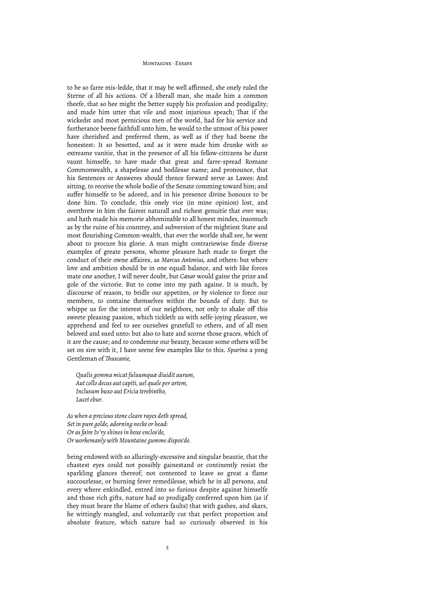to be so farre mis-ledde, that it may be well affirmed, she onely ruled the Sterne of all his actions. Of a liberall man, she made him a common theefe, that so hee might the better supply his profusion and prodigality; and made him utter that vile and most injurious speach; That if the wickedst and most pernicious men of the world, had for his service and furtherance beene faithfull unto him, he would to the utmost of his power have cherished and preferred them, as well as if they had beene the honestest: It so besotted, and as it were made him drunke with so extreame vanitie, that in the presence of all his fellow-cittizens he durst vaunt himselfe, to have made that great and farre-spread Romane Commonwealth, a shapelesse and bodilesse name; and pronounce, that his Sentences or Answeres should thence forward serve as Lawes: And sitting, to receive the whole bodie of the Senate comming toward him; and suffer himselfe to be adored, and in his presence divine honours to be done him. To conclude, this onely vice (in mine opinion) lost, and overthrew in him the fairest naturall and richest genuitie that ever was; and hath made his memorie abhominable to all honest mindes, insomuch as by the ruine of his countrey, and subversion of the mightiest State and most flourishing Common-wealth, that ever the worlde shall see, he went about to procure his glorie. A man might contrariewise finde diverse examples of greate persons, whome pleasure hath made to forget the conduct of their owne affaires, as *Marcus Antonius,* and others: but where love and ambition should be in one equall balance, and with like forces mate one another, I will never doubt, but *Cæsar* would gaine the prize and gole of the victorie. But to come into my path againe. It is much, by discourse of reason, to bridle our appetites, or by violence to force our members, to containe themselves within the bounds of duty. But to whippe us for the interest of our neighbors, not only to shake off this sweete pleasing passion, which tickleth us with selfe-joying pleasure, we apprehend and feel to see ourselves gratefull to others, and of all men beloved and sued unto: but also to hate and scorne those graces, which of it are the cause; and to condemne our beauty, because some others will be set on sire with it, I have seene few examples like to this. *Spurina* a yong Gentleman of *!uscanie,*

*Qualis gemma micat fuluumquæ diuidit aurum, Aut collo decus aut capiti, uel quale per artem, Inclusum buxo aut Ericia terebintho, Lucet ebur.*

*As when a precious stone cleare rayes doth spread, Set in pure golde, adorning necke or head: Or as faire Iv'ry shines in boxe enclos'de, Or workemanly with Mountaine gumme dispos'de.*

being endowed with so alluringly-excessive and singular beautie, that the chastest eyes could not possibly gainestand or continently resist the sparkling glances thereof; not contented to leave so great a flame succourlesse, or burning fever remedilesse, which he in all persons, and every where enkindled, entred into so furious despite against himselfe and those rich gifts, nature had so prodigally conferred upon him (as if they must beare the blame of others faults) that with gashes, and skars, he wittingly mangled, and voluntarily cut that perfect proportion and absolute feature, which nature had so curiously observed in his